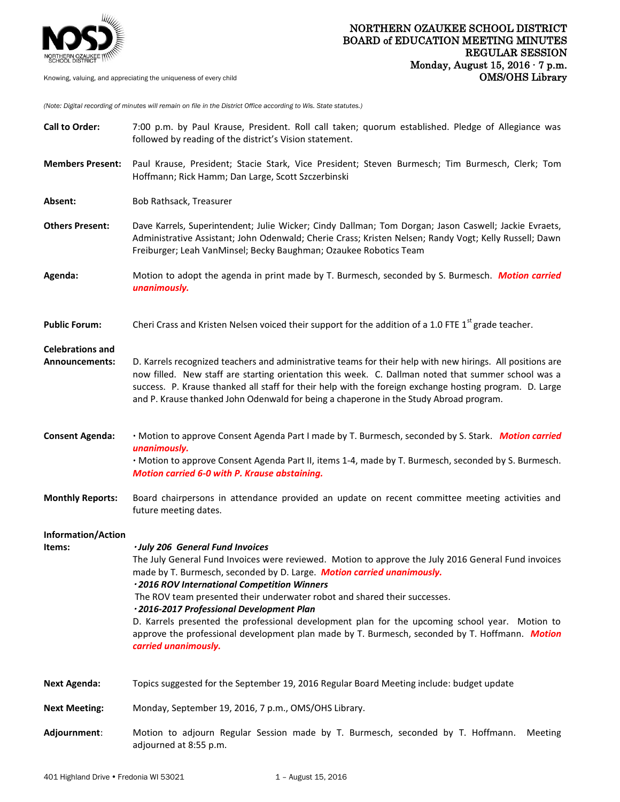

*(Note: Digital recording of minutes will remain on file in the District Office according to Wis. State statutes.)*

| <b>Call to Order:</b>                     | 7:00 p.m. by Paul Krause, President. Roll call taken; quorum established. Pledge of Allegiance was<br>followed by reading of the district's Vision statement.                                                                                                                                                                                                                                                                                                                                                                                                                                                          |
|-------------------------------------------|------------------------------------------------------------------------------------------------------------------------------------------------------------------------------------------------------------------------------------------------------------------------------------------------------------------------------------------------------------------------------------------------------------------------------------------------------------------------------------------------------------------------------------------------------------------------------------------------------------------------|
| <b>Members Present:</b>                   | Paul Krause, President; Stacie Stark, Vice President; Steven Burmesch; Tim Burmesch, Clerk; Tom<br>Hoffmann; Rick Hamm; Dan Large, Scott Szczerbinski                                                                                                                                                                                                                                                                                                                                                                                                                                                                  |
| Absent:                                   | Bob Rathsack, Treasurer                                                                                                                                                                                                                                                                                                                                                                                                                                                                                                                                                                                                |
| <b>Others Present:</b>                    | Dave Karrels, Superintendent; Julie Wicker; Cindy Dallman; Tom Dorgan; Jason Caswell; Jackie Evraets,<br>Administrative Assistant; John Odenwald; Cherie Crass; Kristen Nelsen; Randy Vogt; Kelly Russell; Dawn<br>Freiburger; Leah VanMinsel; Becky Baughman; Ozaukee Robotics Team                                                                                                                                                                                                                                                                                                                                   |
| Agenda:                                   | Motion to adopt the agenda in print made by T. Burmesch, seconded by S. Burmesch. Motion carried<br>unanimously.                                                                                                                                                                                                                                                                                                                                                                                                                                                                                                       |
| <b>Public Forum:</b>                      | Cheri Crass and Kristen Nelsen voiced their support for the addition of a 1.0 FTE 1 <sup>st</sup> grade teacher.                                                                                                                                                                                                                                                                                                                                                                                                                                                                                                       |
| <b>Celebrations and</b><br>Announcements: | D. Karrels recognized teachers and administrative teams for their help with new hirings. All positions are<br>now filled. New staff are starting orientation this week. C. Dallman noted that summer school was a<br>success. P. Krause thanked all staff for their help with the foreign exchange hosting program. D. Large<br>and P. Krause thanked John Odenwald for being a chaperone in the Study Abroad program.                                                                                                                                                                                                 |
| <b>Consent Agenda:</b>                    | . Motion to approve Consent Agenda Part I made by T. Burmesch, seconded by S. Stark. Motion carried<br>unanimously.<br>· Motion to approve Consent Agenda Part II, items 1-4, made by T. Burmesch, seconded by S. Burmesch.<br>Motion carried 6-0 with P. Krause abstaining.                                                                                                                                                                                                                                                                                                                                           |
| <b>Monthly Reports:</b>                   | Board chairpersons in attendance provided an update on recent committee meeting activities and<br>future meeting dates.                                                                                                                                                                                                                                                                                                                                                                                                                                                                                                |
| <b>Information/Action</b><br>Items:       | · July 206 General Fund Invoices<br>The July General Fund Invoices were reviewed. Motion to approve the July 2016 General Fund invoices<br>made by T. Burmesch, seconded by D. Large. Motion carried unanimously.<br>· 2016 ROV International Competition Winners<br>The ROV team presented their underwater robot and shared their successes.<br>·2016-2017 Professional Development Plan<br>D. Karrels presented the professional development plan for the upcoming school year. Motion to<br>approve the professional development plan made by T. Burmesch, seconded by T. Hoffmann. Motion<br>carried unanimously. |
| <b>Next Agenda:</b>                       | Topics suggested for the September 19, 2016 Regular Board Meeting include: budget update                                                                                                                                                                                                                                                                                                                                                                                                                                                                                                                               |
| <b>Next Meeting:</b>                      | Monday, September 19, 2016, 7 p.m., OMS/OHS Library.                                                                                                                                                                                                                                                                                                                                                                                                                                                                                                                                                                   |
| Adjournment:                              | Motion to adjourn Regular Session made by T. Burmesch, seconded by T. Hoffmann.<br>Meeting<br>adjourned at 8:55 p.m.                                                                                                                                                                                                                                                                                                                                                                                                                                                                                                   |